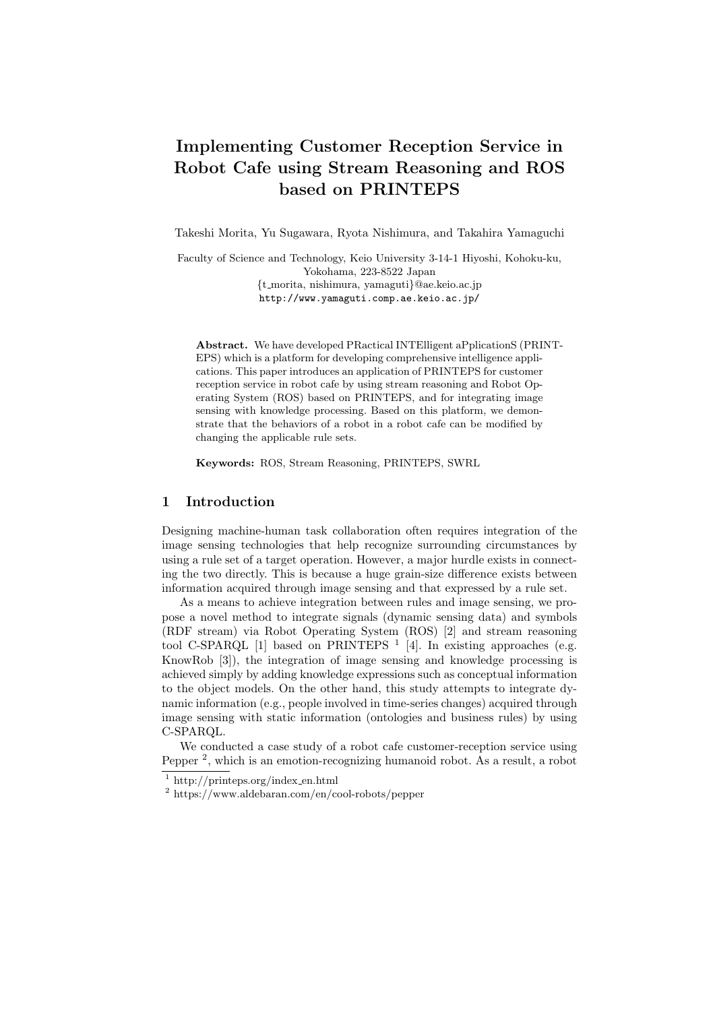# **Implementing Customer Reception Service in Robot Cafe using Stream Reasoning and ROS based on PRINTEPS**

Takeshi Morita, Yu Sugawara, Ryota Nishimura, and Takahira Yamaguchi

Faculty of Science and Technology, Keio University 3-14-1 Hiyoshi, Kohoku-ku, Yokohama, 223-8522 Japan *{*t morita, nishimura, yamaguti*}*@ae.keio.ac.jp http://www.yamaguti.comp.ae.keio.ac.jp/

**Abstract.** We have developed PRactical INTElligent aPplicationS (PRINT-EPS) which is a platform for developing comprehensive intelligence applications. This paper introduces an application of PRINTEPS for customer reception service in robot cafe by using stream reasoning and Robot Operating System (ROS) based on PRINTEPS, and for integrating image sensing with knowledge processing. Based on this platform, we demonstrate that the behaviors of a robot in a robot cafe can be modified by changing the applicable rule sets.

**Keywords:** ROS, Stream Reasoning, PRINTEPS, SWRL

### **1 Introduction**

Designing machine-human task collaboration often requires integration of the image sensing technologies that help recognize surrounding circumstances by using a rule set of a target operation. However, a major hurdle exists in connecting the two directly. This is because a huge grain-size difference exists between information acquired through image sensing and that expressed by a rule set.

As a means to achieve integration between rules and image sensing, we propose a novel method to integrate signals (dynamic sensing data) and symbols (RDF stream) via Robot Operating System (ROS) [2] and stream reasoning tool C-SPARQL [1] based on PRINTEPS  $<sup>1</sup>$  [4]. In existing approaches (e.g.</sup> KnowRob [3]), the integration of image sensing and knowledge processing is achieved simply by adding knowledge expressions such as conceptual information to the object models. On the other hand, this study attempts to integrate dynamic information (e.g., people involved in time-series changes) acquired through image sensing with static information (ontologies and business rules) by using C-SPARQL.

We conducted a case study of a robot cafe customer-reception service using Pepper<sup>2</sup>, which is an emotion-recognizing humanoid robot. As a result, a robot

 $1 \text{ http://printeps.org/index_en.html}$ 

<sup>2</sup> https://www.aldebaran.com/en/cool-robots/pepper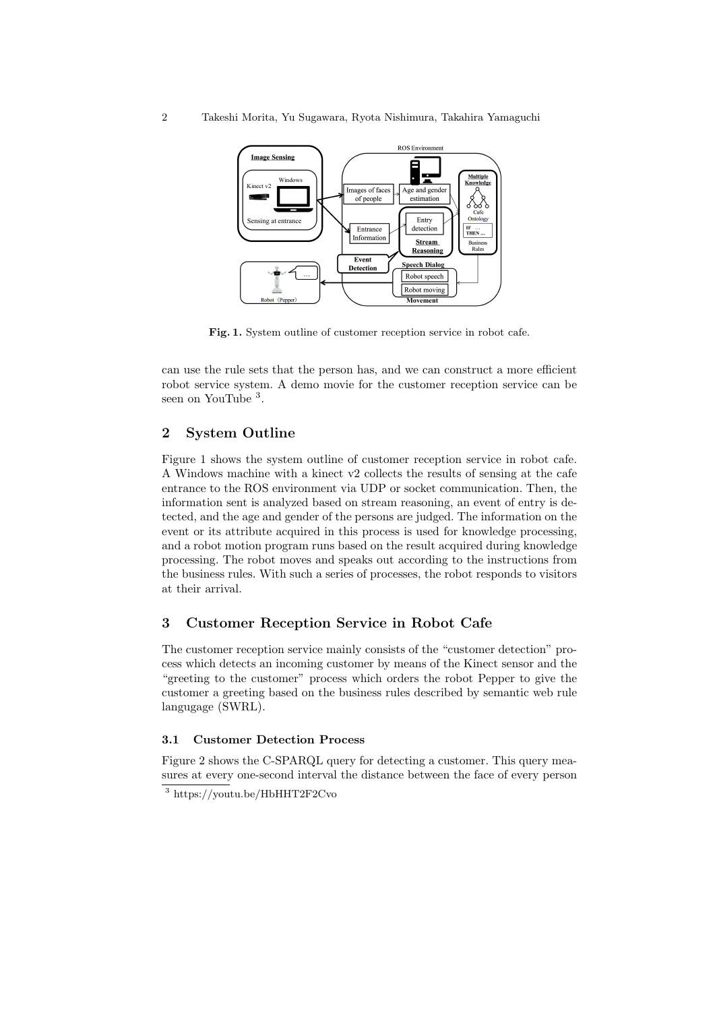

**Fig. 1.** System outline of customer reception service in robot cafe.

can use the rule sets that the person has, and we can construct a more efficient robot service system. A demo movie for the customer reception service can be seen on YouTube <sup>3</sup>.

### **2 System Outline**

Figure 1 shows the system outline of customer reception service in robot cafe. A Windows machine with a kinect v2 collects the results of sensing at the cafe entrance to the ROS environment via UDP or socket communication. Then, the information sent is analyzed based on stream reasoning, an event of entry is detected, and the age and gender of the persons are judged. The information on the event or its attribute acquired in this process is used for knowledge processing, and a robot motion program runs based on the result acquired during knowledge processing. The robot moves and speaks out according to the instructions from the business rules. With such a series of processes, the robot responds to visitors at their arrival.

## **3 Customer Reception Service in Robot Cafe**

The customer reception service mainly consists of the "customer detection" process which detects an incoming customer by means of the Kinect sensor and the "greeting to the customer" process which orders the robot Pepper to give the customer a greeting based on the business rules described by semantic web rule langugage (SWRL).

#### **3.1 Customer Detection Process**

Figure 2 shows the C-SPARQL query for detecting a customer. This query measures at every one-second interval the distance between the face of every person

<sup>3</sup> https://youtu.be/HbHHT2F2Cvo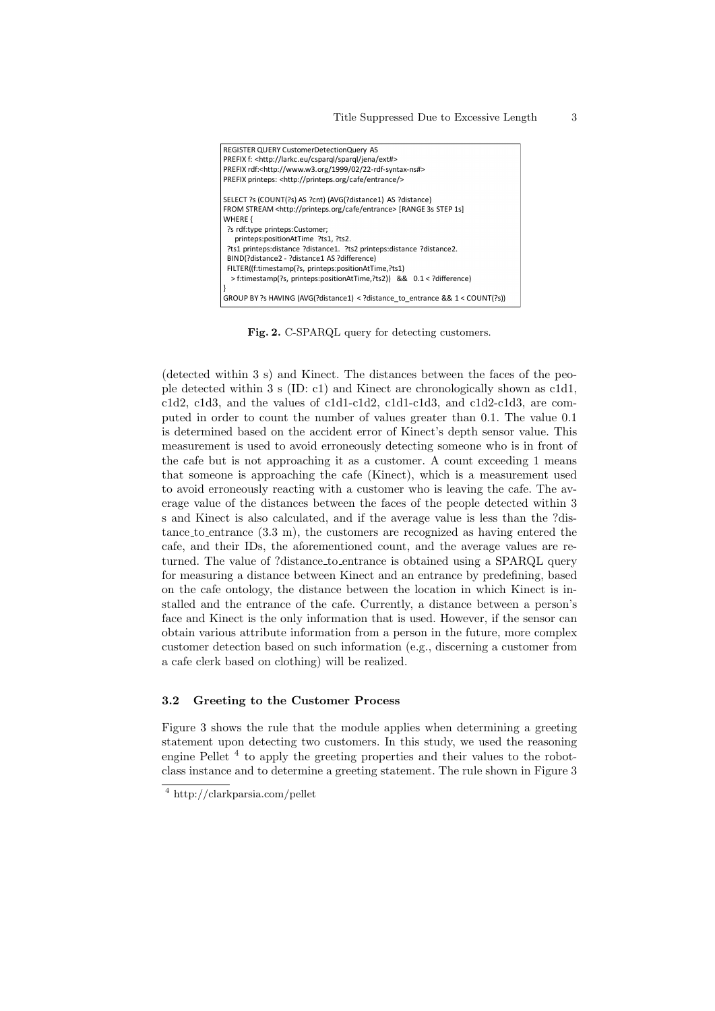| REGISTER QUERY CustomerDetectionQuery AS                                           |
|------------------------------------------------------------------------------------|
| PREFIX f: <http: cspargl="" ext#="" jena="" larkc.eu="" spargl=""></http:>         |
| PREFIX rdf: <http: 02="" 1999="" 22-rdf-syntax-ns#="" www.w3.org=""></http:>       |
| PREFIX printeps: <http: cafe="" entrance="" printeps.org=""></http:>               |
| SELECT ?s (COUNT(?s) AS ?cnt) (AVG(?distance1) AS ?distance)                       |
| FROM STREAM <http: cafe="" entrance="" printeps.org=""> [RANGE 3s STEP 1s]</http:> |
| WHERE {                                                                            |
| ?s rdf:type printeps:Customer;                                                     |
| printeps:positionAtTime ?ts1, ?ts2.                                                |
| ?ts1 printeps:distance ?distance1. ?ts2 printeps:distance ?distance2.              |
| BIND(?distance2 - ?distance1 AS ?difference)                                       |
| FILTER((f:timestamp(?s, printeps:positionAtTime,?ts1)                              |
| > f:timestamp(?s, printeps:positionAtTime,?ts2)) && 0.1 < ?difference)             |
|                                                                                    |
| GROUP BY ?s HAVING (AVG(?distance1) < ?distance to entrance && $1 <$ COUNT(?s))    |

Fig. 2. C-SPARQL query for detecting customers.

(detected within 3 s) and Kinect. The distances between the faces of the people detected within 3 s (ID: c1) and Kinect are chronologically shown as c1d1, c1d2, c1d3, and the values of c1d1-c1d2, c1d1-c1d3, and c1d2-c1d3, are computed in order to count the number of values greater than 0.1. The value 0.1 is determined based on the accident error of Kinect's depth sensor value. This measurement is used to avoid erroneously detecting someone who is in front of the cafe but is not approaching it as a customer. A count exceeding 1 means that someone is approaching the cafe (Kinect), which is a measurement used to avoid erroneously reacting with a customer who is leaving the cafe. The average value of the distances between the faces of the people detected within 3 s and Kinect is also calculated, and if the average value is less than the ?distance to entrance  $(3.3 \text{ m})$ , the customers are recognized as having entered the cafe, and their IDs, the aforementioned count, and the average values are returned. The value of ?distance\_to\_entrance is obtained using a SPARQL query for measuring a distance between Kinect and an entrance by predefining, based on the cafe ontology, the distance between the location in which Kinect is installed and the entrance of the cafe. Currently, a distance between a person's face and Kinect is the only information that is used. However, if the sensor can obtain various attribute information from a person in the future, more complex customer detection based on such information (e.g., discerning a customer from a cafe clerk based on clothing) will be realized.

#### $3.2$ Greeting to the Customer Process

Figure 3 shows the rule that the module applies when determining a greeting statement upon detecting two customers. In this study, we used the reasoning engine Pellet<sup>4</sup> to apply the greeting properties and their values to the robotclass instance and to determine a greeting statement. The rule shown in Figure 3

 $4 \text{ http://clarkparsia.com/pellet}$